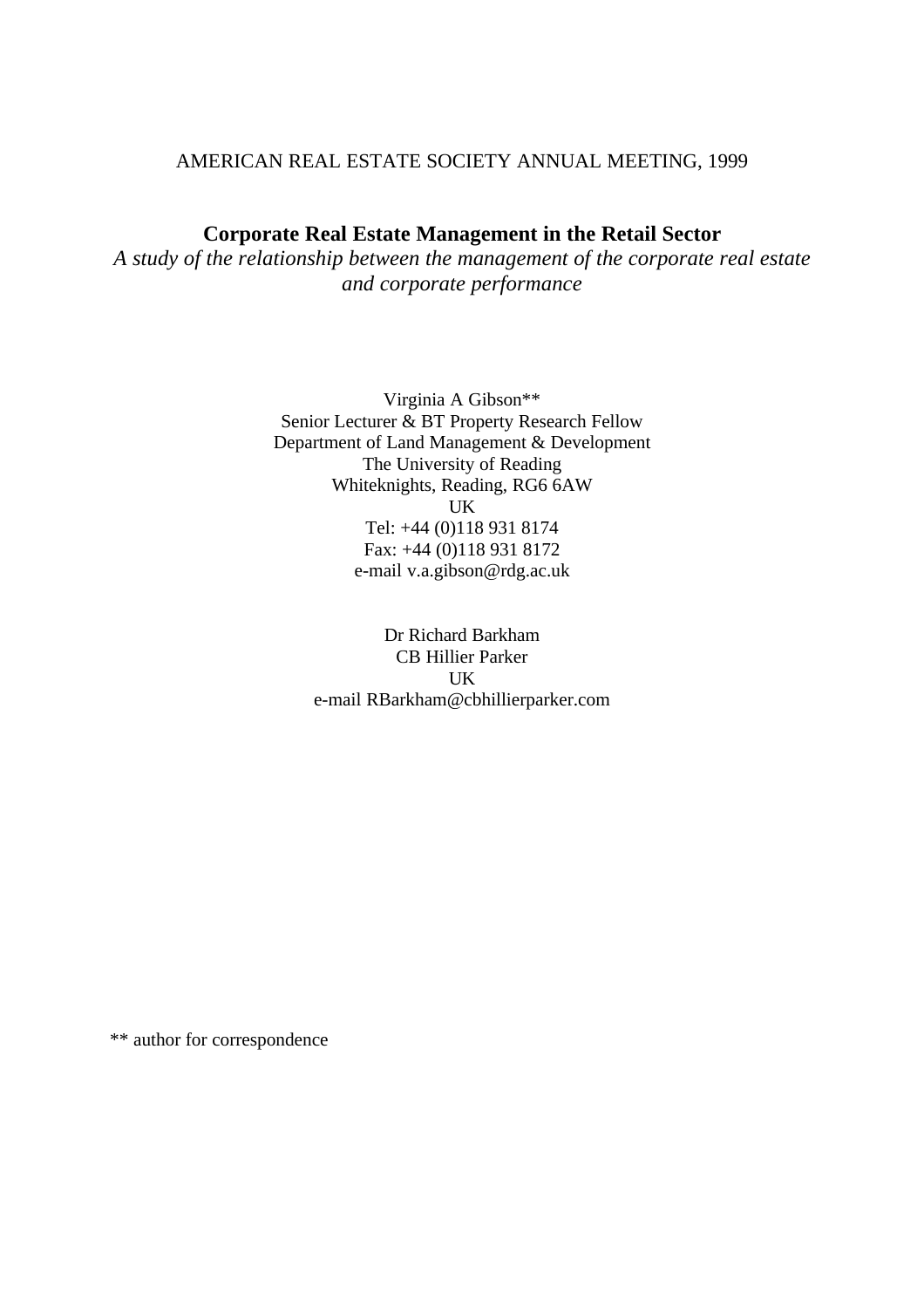## AMERICAN REAL ESTATE SOCIETY ANNUAL MEETING, 1999

# **Corporate Real Estate Management in the Retail Sector**

*A study of the relationship between the management of the corporate real estate and corporate performance*

> Virginia A Gibson\*\* Senior Lecturer & BT Property Research Fellow Department of Land Management & Development The University of Reading Whiteknights, Reading, RG6 6AW UK Tel: +44 (0)118 931 8174 Fax: +44 (0)118 931 8172 e-mail v.a.gibson@rdg.ac.uk

> > Dr Richard Barkham CB Hillier Parker UK e-mail RBarkham@cbhillierparker.com

\*\* author for correspondence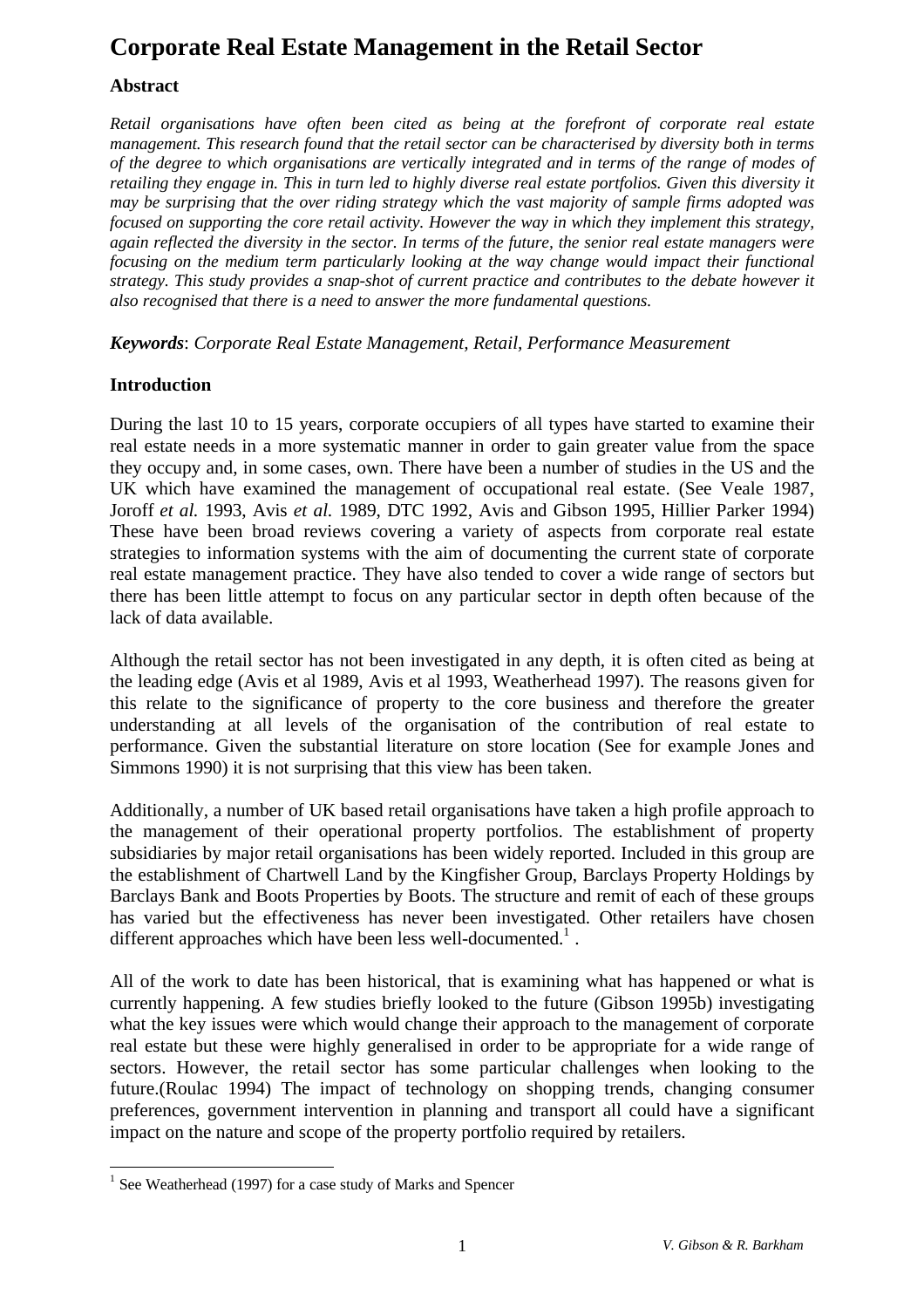# **Corporate Real Estate Management in the Retail Sector**

# **Abstract**

*Retail organisations have often been cited as being at the forefront of corporate real estate management. This research found that the retail sector can be characterised by diversity both in terms of the degree to which organisations are vertically integrated and in terms of the range of modes of retailing they engage in. This in turn led to highly diverse real estate portfolios. Given this diversity it may be surprising that the over riding strategy which the vast majority of sample firms adopted was focused on supporting the core retail activity. However the way in which they implement this strategy, again reflected the diversity in the sector. In terms of the future, the senior real estate managers were focusing on the medium term particularly looking at the way change would impact their functional strategy. This study provides a snap-shot of current practice and contributes to the debate however it also recognised that there is a need to answer the more fundamental questions.*

*Keywords*: *Corporate Real Estate Management, Retail, Performance Measurement*

## **Introduction**

During the last 10 to 15 years, corporate occupiers of all types have started to examine their real estate needs in a more systematic manner in order to gain greater value from the space they occupy and, in some cases, own. There have been a number of studies in the US and the UK which have examined the management of occupational real estate. (See Veale 1987, Joroff *et al.* 1993, Avis *et al.* 1989, DTC 1992, Avis and Gibson 1995, Hillier Parker 1994) These have been broad reviews covering a variety of aspects from corporate real estate strategies to information systems with the aim of documenting the current state of corporate real estate management practice. They have also tended to cover a wide range of sectors but there has been little attempt to focus on any particular sector in depth often because of the lack of data available.

Although the retail sector has not been investigated in any depth, it is often cited as being at the leading edge (Avis et al 1989, Avis et al 1993, Weatherhead 1997). The reasons given for this relate to the significance of property to the core business and therefore the greater understanding at all levels of the organisation of the contribution of real estate to performance. Given the substantial literature on store location (See for example Jones and Simmons 1990) it is not surprising that this view has been taken.

Additionally, a number of UK based retail organisations have taken a high profile approach to the management of their operational property portfolios. The establishment of property subsidiaries by major retail organisations has been widely reported. Included in this group are the establishment of Chartwell Land by the Kingfisher Group, Barclays Property Holdings by Barclays Bank and Boots Properties by Boots. The structure and remit of each of these groups has varied but the effectiveness has never been investigated. Other retailers have chosen different approaches which have been less well-documented.<sup>1</sup>.

All of the work to date has been historical, that is examining what has happened or what is currently happening. A few studies briefly looked to the future (Gibson 1995b) investigating what the key issues were which would change their approach to the management of corporate real estate but these were highly generalised in order to be appropriate for a wide range of sectors. However, the retail sector has some particular challenges when looking to the future.(Roulac 1994) The impact of technology on shopping trends, changing consumer preferences, government intervention in planning and transport all could have a significant impact on the nature and scope of the property portfolio required by retailers.

<sup>&</sup>lt;sup>1</sup> See Weatherhead (1997) for a case study of Marks and Spencer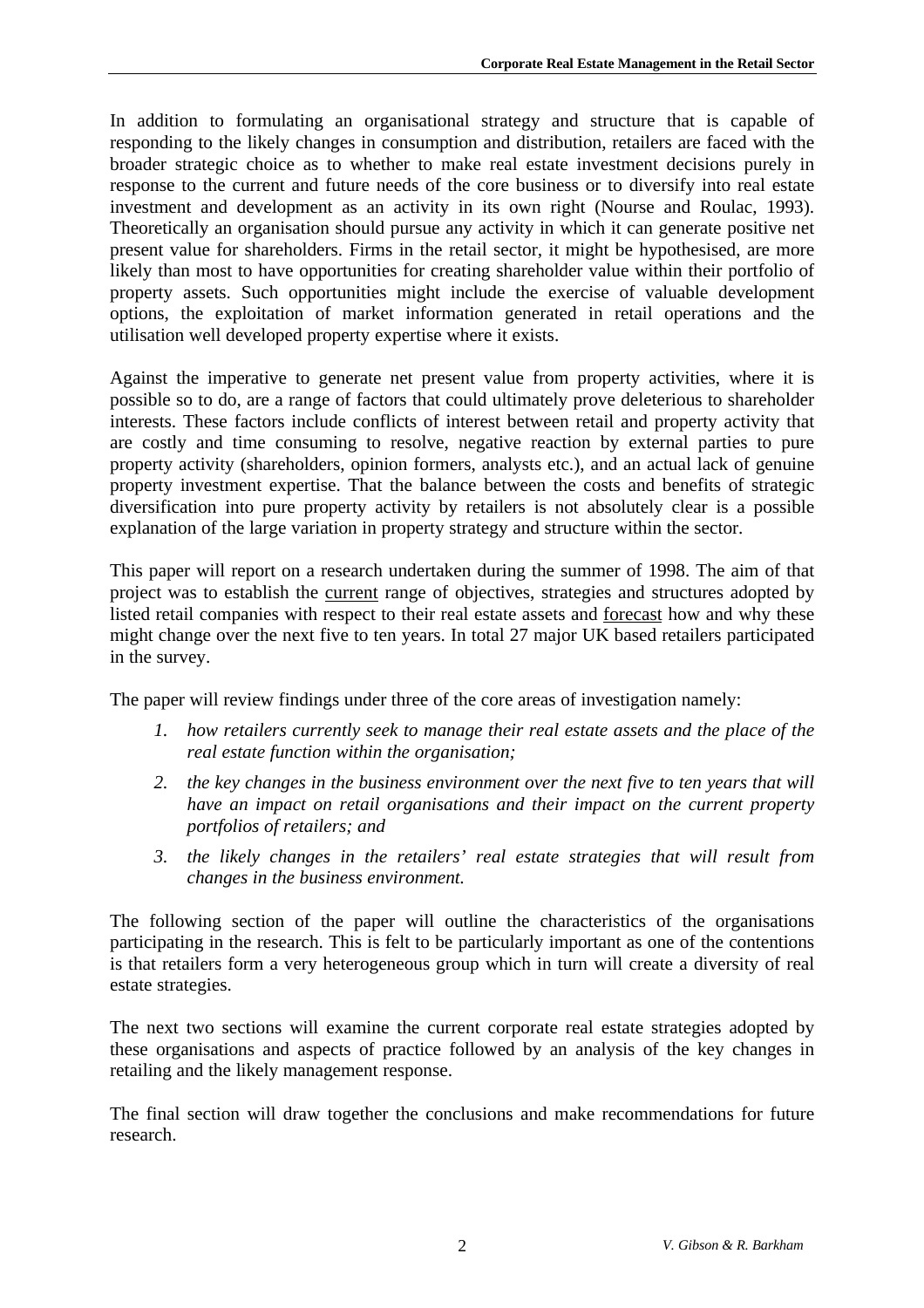In addition to formulating an organisational strategy and structure that is capable of responding to the likely changes in consumption and distribution, retailers are faced with the broader strategic choice as to whether to make real estate investment decisions purely in response to the current and future needs of the core business or to diversify into real estate investment and development as an activity in its own right (Nourse and Roulac, 1993). Theoretically an organisation should pursue any activity in which it can generate positive net present value for shareholders. Firms in the retail sector, it might be hypothesised, are more likely than most to have opportunities for creating shareholder value within their portfolio of property assets. Such opportunities might include the exercise of valuable development options, the exploitation of market information generated in retail operations and the utilisation well developed property expertise where it exists.

Against the imperative to generate net present value from property activities, where it is possible so to do, are a range of factors that could ultimately prove deleterious to shareholder interests. These factors include conflicts of interest between retail and property activity that are costly and time consuming to resolve, negative reaction by external parties to pure property activity (shareholders, opinion formers, analysts etc.), and an actual lack of genuine property investment expertise. That the balance between the costs and benefits of strategic diversification into pure property activity by retailers is not absolutely clear is a possible explanation of the large variation in property strategy and structure within the sector.

This paper will report on a research undertaken during the summer of 1998. The aim of that project was to establish the current range of objectives, strategies and structures adopted by listed retail companies with respect to their real estate assets and forecast how and why these might change over the next five to ten years. In total 27 major UK based retailers participated in the survey.

The paper will review findings under three of the core areas of investigation namely:

- *1. how retailers currently seek to manage their real estate assets and the place of the real estate function within the organisation;*
- *2. the key changes in the business environment over the next five to ten years that will have an impact on retail organisations and their impact on the current property portfolios of retailers; and*
- *3. the likely changes in the retailers' real estate strategies that will result from changes in the business environment.*

The following section of the paper will outline the characteristics of the organisations participating in the research. This is felt to be particularly important as one of the contentions is that retailers form a very heterogeneous group which in turn will create a diversity of real estate strategies.

The next two sections will examine the current corporate real estate strategies adopted by these organisations and aspects of practice followed by an analysis of the key changes in retailing and the likely management response.

The final section will draw together the conclusions and make recommendations for future research.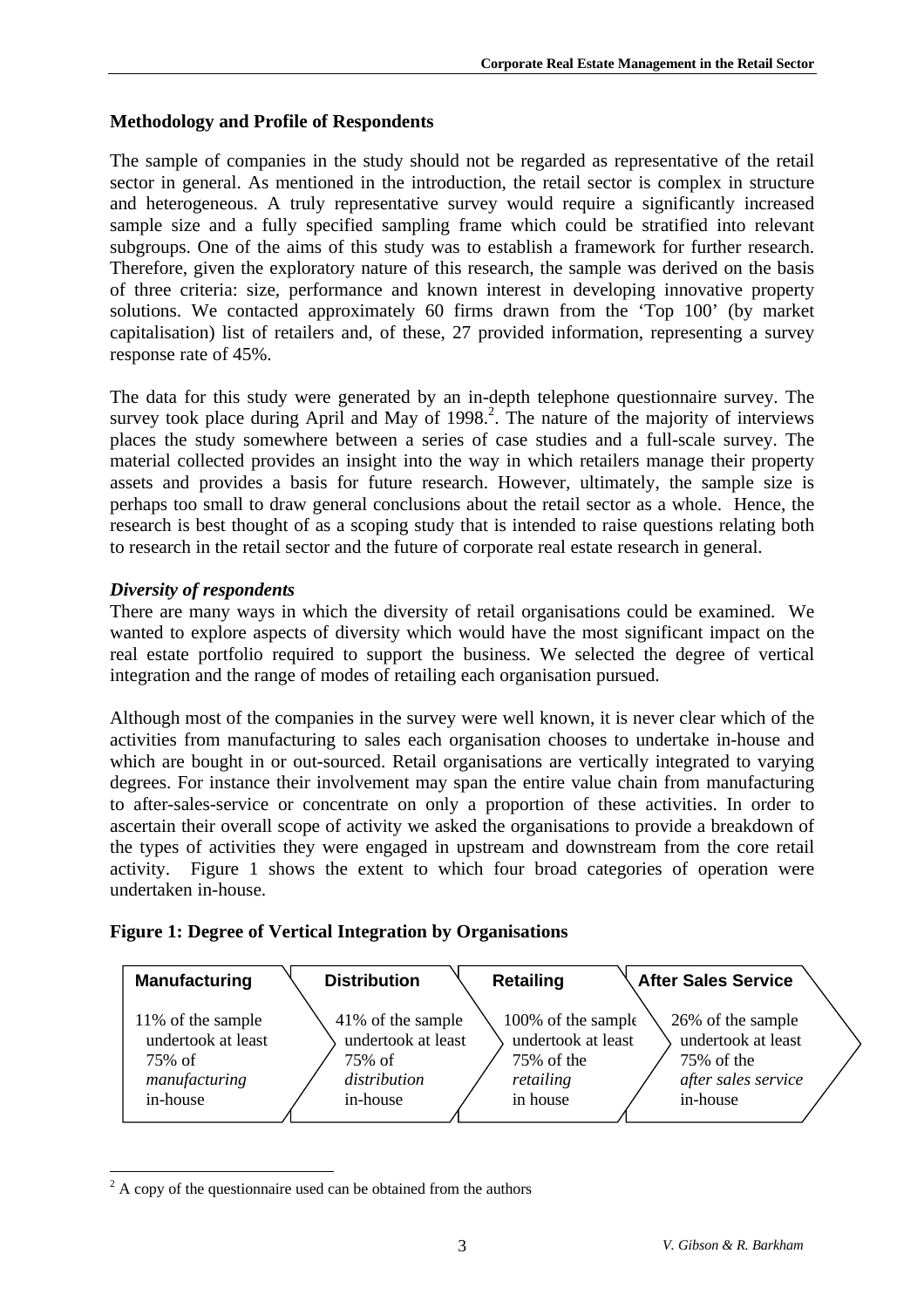# **Methodology and Profile of Respondents**

The sample of companies in the study should not be regarded as representative of the retail sector in general. As mentioned in the introduction, the retail sector is complex in structure and heterogeneous. A truly representative survey would require a significantly increased sample size and a fully specified sampling frame which could be stratified into relevant subgroups. One of the aims of this study was to establish a framework for further research. Therefore, given the exploratory nature of this research, the sample was derived on the basis of three criteria: size, performance and known interest in developing innovative property solutions. We contacted approximately 60 firms drawn from the 'Top 100' (by market capitalisation) list of retailers and, of these, 27 provided information, representing a survey response rate of 45%.

The data for this study were generated by an in-depth telephone questionnaire survey. The survey took place during April and May of 1998.<sup>2</sup>. The nature of the majority of interviews places the study somewhere between a series of case studies and a full-scale survey. The material collected provides an insight into the way in which retailers manage their property assets and provides a basis for future research. However, ultimately, the sample size is perhaps too small to draw general conclusions about the retail sector as a whole. Hence, the research is best thought of as a scoping study that is intended to raise questions relating both to research in the retail sector and the future of corporate real estate research in general.

# *Diversity of respondents*

There are many ways in which the diversity of retail organisations could be examined. We wanted to explore aspects of diversity which would have the most significant impact on the real estate portfolio required to support the business. We selected the degree of vertical integration and the range of modes of retailing each organisation pursued.

Although most of the companies in the survey were well known, it is never clear which of the activities from manufacturing to sales each organisation chooses to undertake in-house and which are bought in or out-sourced. Retail organisations are vertically integrated to varying degrees. For instance their involvement may span the entire value chain from manufacturing to after-sales-service or concentrate on only a proportion of these activities. In order to ascertain their overall scope of activity we asked the organisations to provide a breakdown of the types of activities they were engaged in upstream and downstream from the core retail activity. Figure 1 shows the extent to which four broad categories of operation were undertaken in-house.

## **Figure 1: Degree of Vertical Integration by Organisations**

| <b>Manufacturing</b>           | <b>Distribution</b>          | <b>Retailing</b>                 | <b>After Sales Service</b> |                     |
|--------------------------------|------------------------------|----------------------------------|----------------------------|---------------------|
| 11% of the sample              | 41% of the sample            | 100% of the sample               |                            | 26% of the sample   |
| undertook at least<br>$75%$ of | undertook at least<br>75% of | undertook at least<br>75% of the | 75% of the                 | undertook at least  |
| manufacturing                  | distribution                 | retailing                        |                            | after sales service |
| in-house                       | in-house                     | in house                         | in-house                   |                     |

<sup>&</sup>lt;sup>2</sup> A copy of the questionnaire used can be obtained from the authors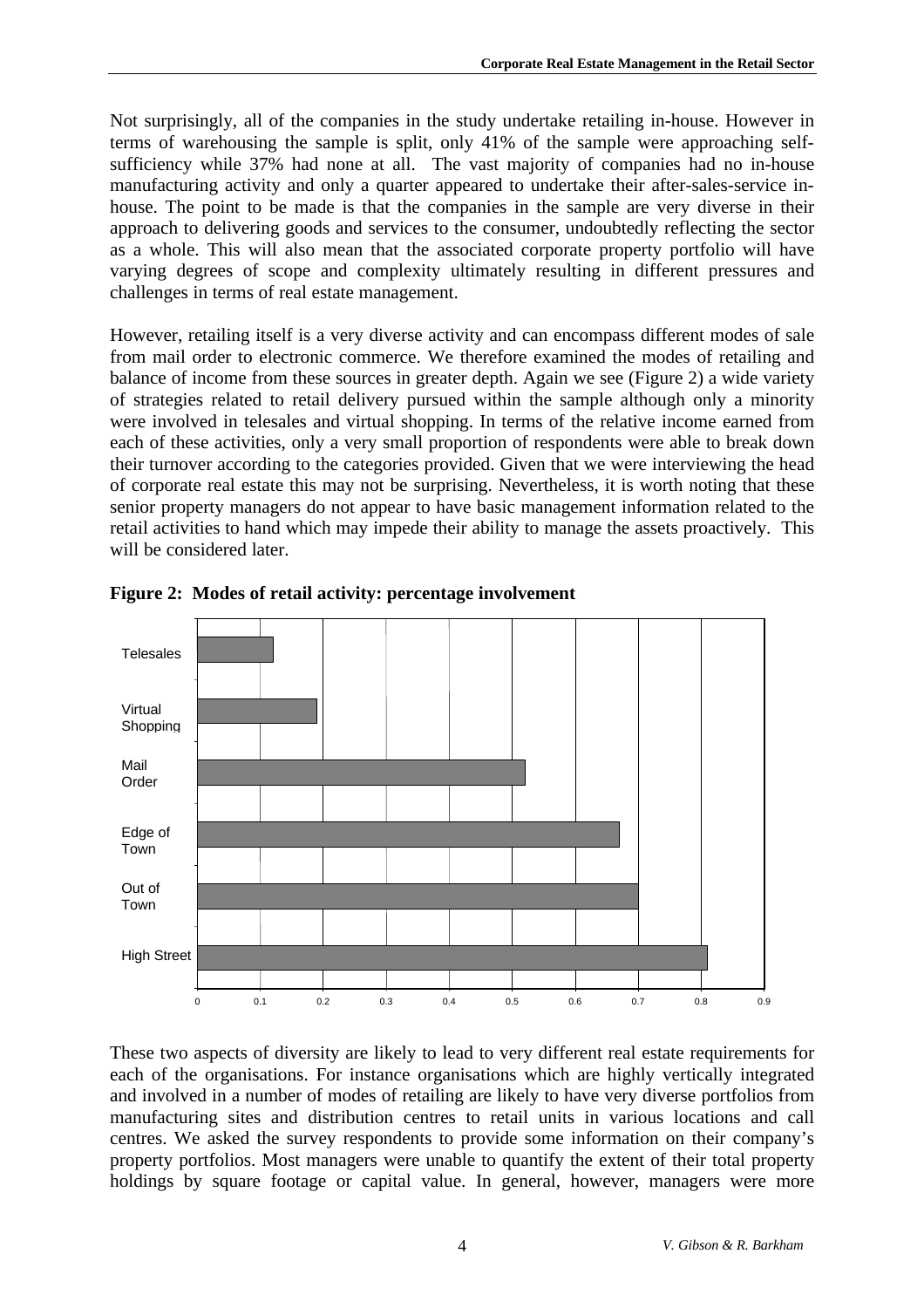Not surprisingly, all of the companies in the study undertake retailing in-house. However in terms of warehousing the sample is split, only 41% of the sample were approaching selfsufficiency while 37% had none at all. The vast majority of companies had no in-house manufacturing activity and only a quarter appeared to undertake their after-sales-service inhouse. The point to be made is that the companies in the sample are very diverse in their approach to delivering goods and services to the consumer, undoubtedly reflecting the sector as a whole. This will also mean that the associated corporate property portfolio will have varying degrees of scope and complexity ultimately resulting in different pressures and challenges in terms of real estate management.

However, retailing itself is a very diverse activity and can encompass different modes of sale from mail order to electronic commerce. We therefore examined the modes of retailing and balance of income from these sources in greater depth. Again we see (Figure 2) a wide variety of strategies related to retail delivery pursued within the sample although only a minority were involved in telesales and virtual shopping. In terms of the relative income earned from each of these activities, only a very small proportion of respondents were able to break down their turnover according to the categories provided. Given that we were interviewing the head of corporate real estate this may not be surprising. Nevertheless, it is worth noting that these senior property managers do not appear to have basic management information related to the retail activities to hand which may impede their ability to manage the assets proactively. This will be considered later.





These two aspects of diversity are likely to lead to very different real estate requirements for each of the organisations. For instance organisations which are highly vertically integrated and involved in a number of modes of retailing are likely to have very diverse portfolios from manufacturing sites and distribution centres to retail units in various locations and call centres. We asked the survey respondents to provide some information on their company's property portfolios. Most managers were unable to quantify the extent of their total property holdings by square footage or capital value. In general, however, managers were more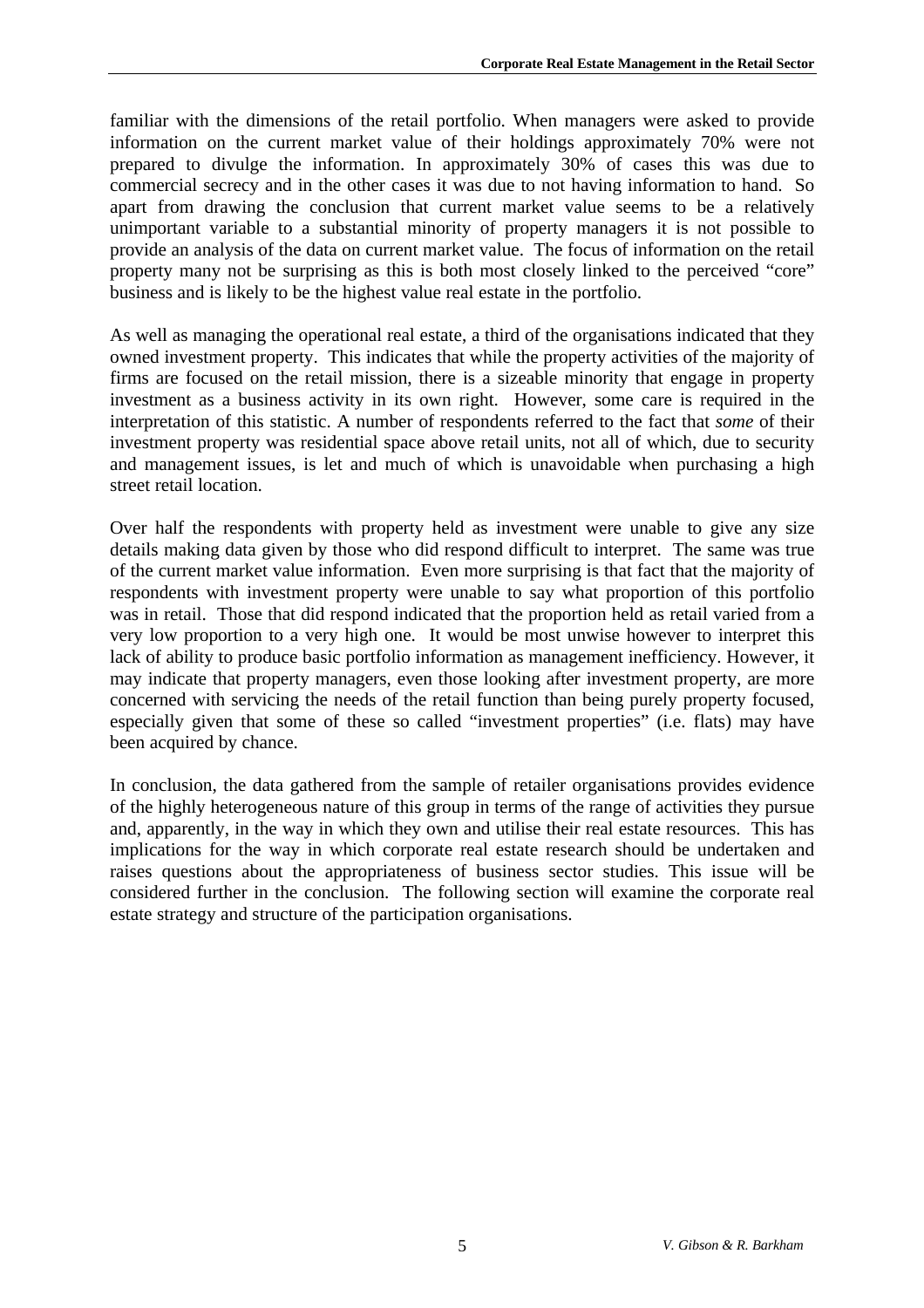familiar with the dimensions of the retail portfolio. When managers were asked to provide information on the current market value of their holdings approximately 70% were not prepared to divulge the information. In approximately 30% of cases this was due to commercial secrecy and in the other cases it was due to not having information to hand. So apart from drawing the conclusion that current market value seems to be a relatively unimportant variable to a substantial minority of property managers it is not possible to provide an analysis of the data on current market value. The focus of information on the retail property many not be surprising as this is both most closely linked to the perceived "core" business and is likely to be the highest value real estate in the portfolio.

As well as managing the operational real estate, a third of the organisations indicated that they owned investment property. This indicates that while the property activities of the majority of firms are focused on the retail mission, there is a sizeable minority that engage in property investment as a business activity in its own right. However, some care is required in the interpretation of this statistic. A number of respondents referred to the fact that *some* of their investment property was residential space above retail units, not all of which, due to security and management issues, is let and much of which is unavoidable when purchasing a high street retail location.

Over half the respondents with property held as investment were unable to give any size details making data given by those who did respond difficult to interpret. The same was true of the current market value information. Even more surprising is that fact that the majority of respondents with investment property were unable to say what proportion of this portfolio was in retail. Those that did respond indicated that the proportion held as retail varied from a very low proportion to a very high one. It would be most unwise however to interpret this lack of ability to produce basic portfolio information as management inefficiency. However, it may indicate that property managers, even those looking after investment property, are more concerned with servicing the needs of the retail function than being purely property focused, especially given that some of these so called "investment properties" (i.e. flats) may have been acquired by chance.

In conclusion, the data gathered from the sample of retailer organisations provides evidence of the highly heterogeneous nature of this group in terms of the range of activities they pursue and, apparently, in the way in which they own and utilise their real estate resources. This has implications for the way in which corporate real estate research should be undertaken and raises questions about the appropriateness of business sector studies. This issue will be considered further in the conclusion. The following section will examine the corporate real estate strategy and structure of the participation organisations.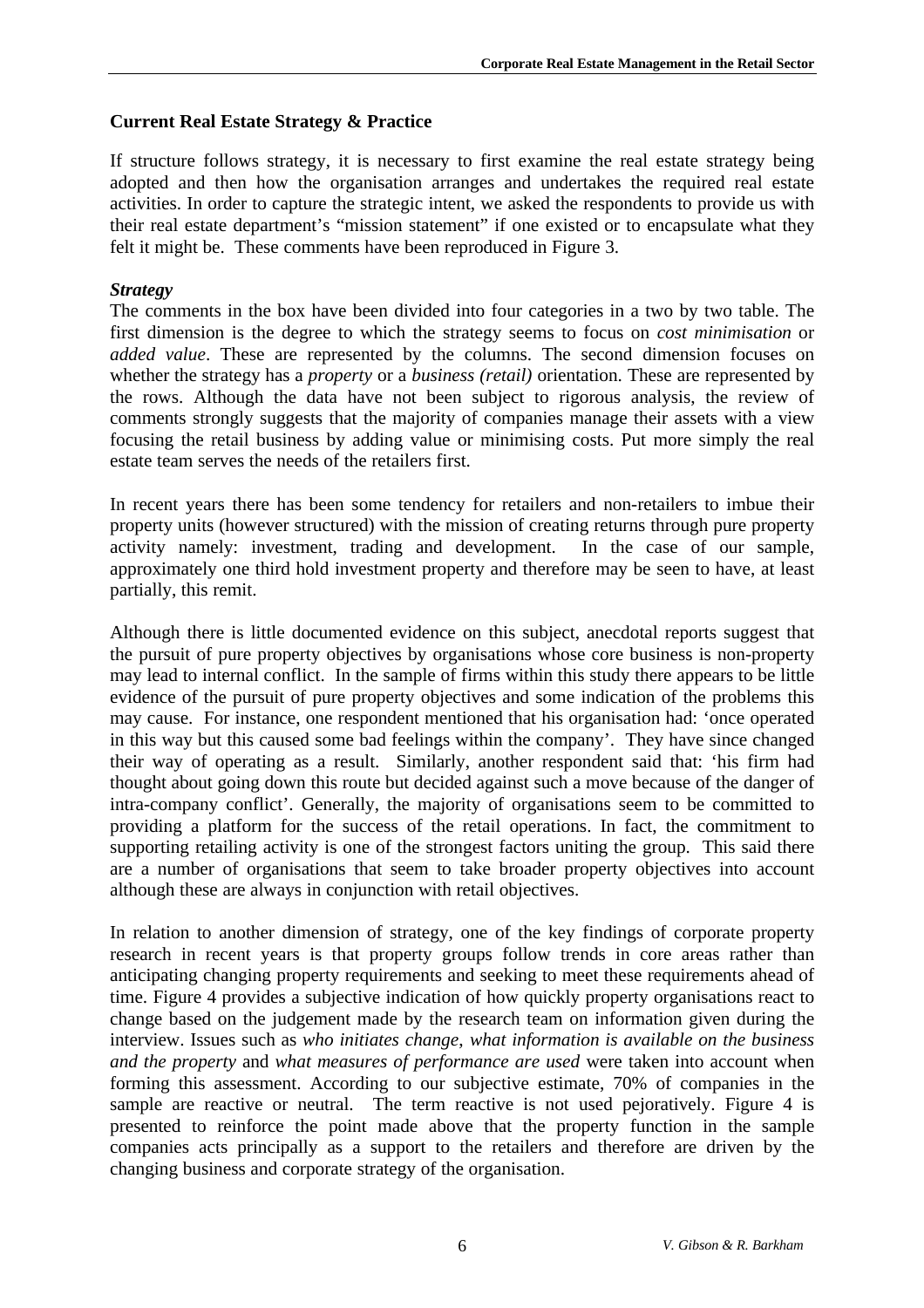## **Current Real Estate Strategy & Practice**

If structure follows strategy, it is necessary to first examine the real estate strategy being adopted and then how the organisation arranges and undertakes the required real estate activities. In order to capture the strategic intent, we asked the respondents to provide us with their real estate department's "mission statement" if one existed or to encapsulate what they felt it might be. These comments have been reproduced in Figure 3.

## *Strategy*

The comments in the box have been divided into four categories in a two by two table. The first dimension is the degree to which the strategy seems to focus on *cost minimisation* or *added value*. These are represented by the columns. The second dimension focuses on whether the strategy has a *property* or a *business (retail)* orientation. These are represented by the rows. Although the data have not been subject to rigorous analysis, the review of comments strongly suggests that the majority of companies manage their assets with a view focusing the retail business by adding value or minimising costs. Put more simply the real estate team serves the needs of the retailers first.

In recent years there has been some tendency for retailers and non-retailers to imbue their property units (however structured) with the mission of creating returns through pure property activity namely: investment, trading and development. In the case of our sample, approximately one third hold investment property and therefore may be seen to have, at least partially, this remit.

Although there is little documented evidence on this subject, anecdotal reports suggest that the pursuit of pure property objectives by organisations whose core business is non-property may lead to internal conflict. In the sample of firms within this study there appears to be little evidence of the pursuit of pure property objectives and some indication of the problems this may cause. For instance, one respondent mentioned that his organisation had: 'once operated in this way but this caused some bad feelings within the company'. They have since changed their way of operating as a result. Similarly, another respondent said that: 'his firm had thought about going down this route but decided against such a move because of the danger of intra-company conflict'. Generally, the majority of organisations seem to be committed to providing a platform for the success of the retail operations. In fact, the commitment to supporting retailing activity is one of the strongest factors uniting the group. This said there are a number of organisations that seem to take broader property objectives into account although these are always in conjunction with retail objectives.

In relation to another dimension of strategy, one of the key findings of corporate property research in recent years is that property groups follow trends in core areas rather than anticipating changing property requirements and seeking to meet these requirements ahead of time. Figure 4 provides a subjective indication of how quickly property organisations react to change based on the judgement made by the research team on information given during the interview. Issues such as *who initiates change*, *what information is available on the business and the property* and *what measures of performance are used* were taken into account when forming this assessment. According to our subjective estimate, 70% of companies in the sample are reactive or neutral. The term reactive is not used pejoratively. Figure 4 is presented to reinforce the point made above that the property function in the sample companies acts principally as a support to the retailers and therefore are driven by the changing business and corporate strategy of the organisation.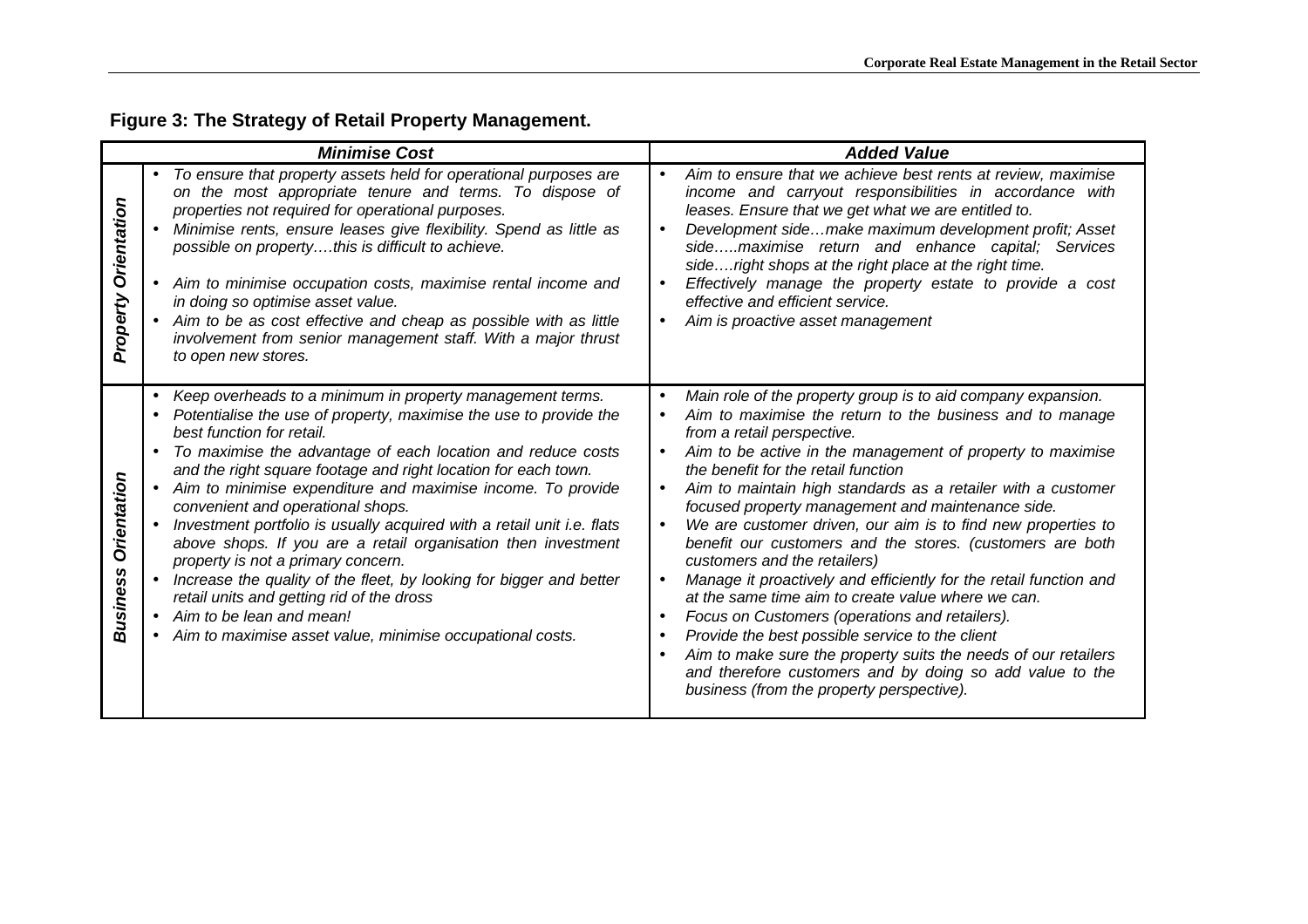# **Figure 3: The Strategy of Retail Property Management.**

| <b>Minimise Cost</b>        |                                                                                                                                                                                                                                                                                                                                                                                                                                                                                                                                                                                                                                                                                                                                                                                                      | <b>Added Value</b>                                                                                                                                                                                                                                                                                                                                                                                                                                                                                                                                                                                                                                                                                                                                                                                                                                                                                                                                                                                                        |  |  |
|-----------------------------|------------------------------------------------------------------------------------------------------------------------------------------------------------------------------------------------------------------------------------------------------------------------------------------------------------------------------------------------------------------------------------------------------------------------------------------------------------------------------------------------------------------------------------------------------------------------------------------------------------------------------------------------------------------------------------------------------------------------------------------------------------------------------------------------------|---------------------------------------------------------------------------------------------------------------------------------------------------------------------------------------------------------------------------------------------------------------------------------------------------------------------------------------------------------------------------------------------------------------------------------------------------------------------------------------------------------------------------------------------------------------------------------------------------------------------------------------------------------------------------------------------------------------------------------------------------------------------------------------------------------------------------------------------------------------------------------------------------------------------------------------------------------------------------------------------------------------------------|--|--|
| Orientation<br>Property     | To ensure that property assets held for operational purposes are<br>on the most appropriate tenure and terms. To dispose of<br>properties not required for operational purposes.<br>Minimise rents, ensure leases give flexibility. Spend as little as<br>possible on propertythis is difficult to achieve.<br>• Aim to minimise occupation costs, maximise rental income and<br>in doing so optimise asset value.<br>• Aim to be as cost effective and cheap as possible with as little<br>involvement from senior management staff. With a major thrust<br>to open new stores.                                                                                                                                                                                                                     | Aim to ensure that we achieve best rents at review, maximise<br>$\bullet$<br>income and carryout responsibilities in accordance with<br>leases. Ensure that we get what we are entitled to.<br>Development sidemake maximum development profit; Asset<br>$\bullet$<br>sidemaximise return and enhance capital; Services<br>sideright shops at the right place at the right time.<br>Effectively manage the property estate to provide a cost<br>$\bullet$<br>effective and efficient service.<br>Aim is proactive asset management<br>$\bullet$                                                                                                                                                                                                                                                                                                                                                                                                                                                                           |  |  |
| Orientation<br>usiness<br>⋒ | Keep overheads to a minimum in property management terms.<br>Potentialise the use of property, maximise the use to provide the<br>best function for retail.<br>To maximise the advantage of each location and reduce costs<br>and the right square footage and right location for each town.<br>• Aim to minimise expenditure and maximise income. To provide<br>convenient and operational shops.<br>Investment portfolio is usually acquired with a retail unit i.e. flats<br>above shops. If you are a retail organisation then investment<br>property is not a primary concern.<br>Increase the quality of the fleet, by looking for bigger and better<br>retail units and getting rid of the dross<br>• Aim to be lean and mean!<br>• Aim to maximise asset value, minimise occupational costs. | Main role of the property group is to aid company expansion.<br>Aim to maximise the return to the business and to manage<br>from a retail perspective.<br>Aim to be active in the management of property to maximise<br>the benefit for the retail function<br>Aim to maintain high standards as a retailer with a customer<br>$\bullet$<br>focused property management and maintenance side.<br>We are customer driven, our aim is to find new properties to<br>$\bullet$<br>benefit our customers and the stores. (customers are both<br>customers and the retailers)<br>Manage it proactively and efficiently for the retail function and<br>$\bullet$<br>at the same time aim to create value where we can.<br>Focus on Customers (operations and retailers).<br>$\bullet$<br>Provide the best possible service to the client<br>$\bullet$<br>Aim to make sure the property suits the needs of our retailers<br>and therefore customers and by doing so add value to the<br>business (from the property perspective). |  |  |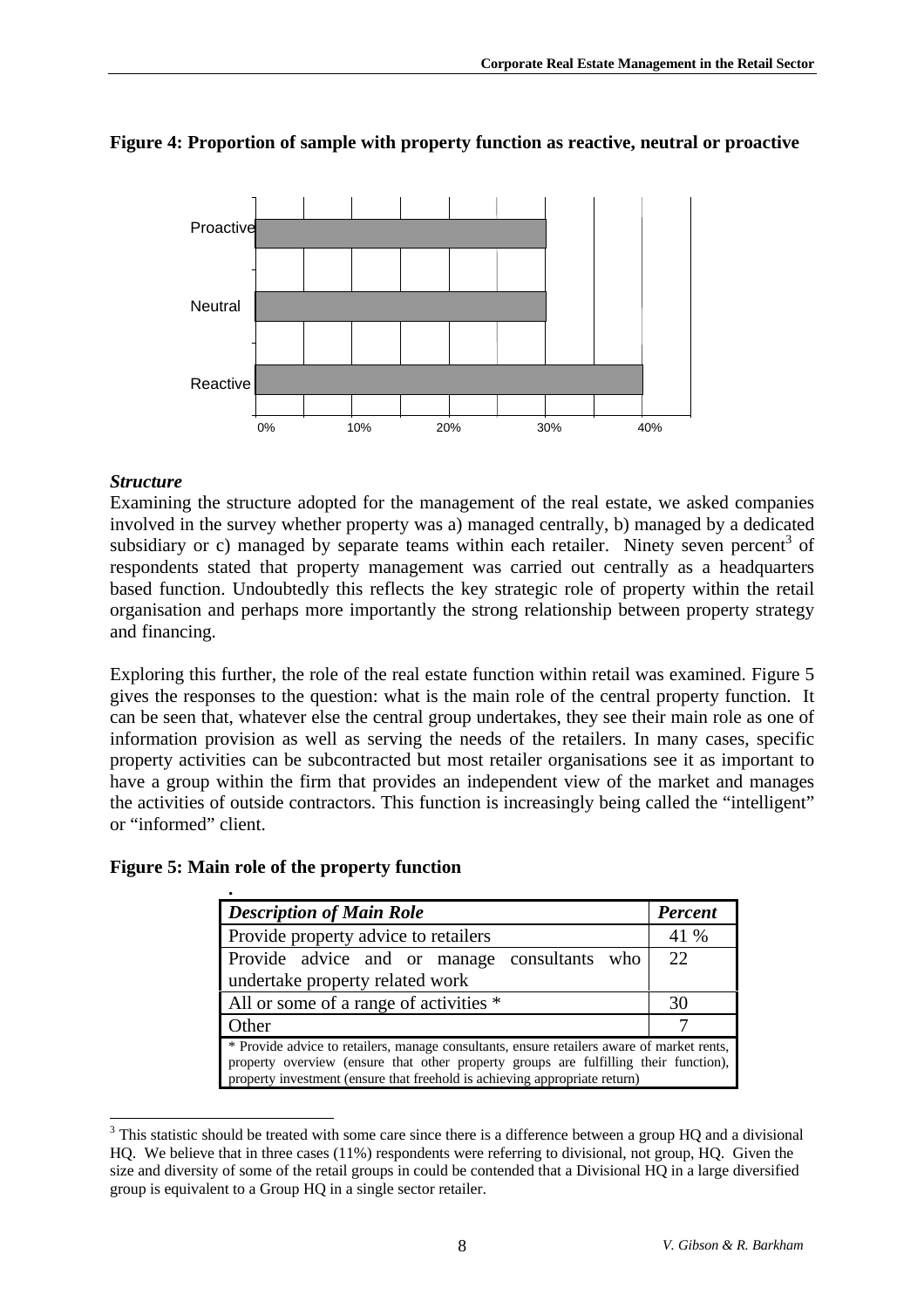

# **Figure 4: Proportion of sample with property function as reactive, neutral or proactive**

# *Structure*

Examining the structure adopted for the management of the real estate, we asked companies involved in the survey whether property was a) managed centrally, b) managed by a dedicated subsidiary or c) managed by separate teams within each retailer. Ninety seven percent<sup>3</sup> of respondents stated that property management was carried out centrally as a headquarters based function. Undoubtedly this reflects the key strategic role of property within the retail organisation and perhaps more importantly the strong relationship between property strategy and financing.

Exploring this further, the role of the real estate function within retail was examined. Figure 5 gives the responses to the question: what is the main role of the central property function. It can be seen that, whatever else the central group undertakes, they see their main role as one of information provision as well as serving the needs of the retailers. In many cases, specific property activities can be subcontracted but most retailer organisations see it as important to have a group within the firm that provides an independent view of the market and manages the activities of outside contractors. This function is increasingly being called the "intelligent" or "informed" client.

# **Figure 5: Main role of the property function**

| <b>Description of Main Role</b>                                                                                                                                                                                                                                  | <b>Percent</b> |  |
|------------------------------------------------------------------------------------------------------------------------------------------------------------------------------------------------------------------------------------------------------------------|----------------|--|
| Provide property advice to retailers                                                                                                                                                                                                                             | 41 %           |  |
| Provide advice and or manage consultants who                                                                                                                                                                                                                     | 22             |  |
| undertake property related work                                                                                                                                                                                                                                  |                |  |
| All or some of a range of activities *                                                                                                                                                                                                                           | 30             |  |
| Other                                                                                                                                                                                                                                                            |                |  |
| * Provide advice to retailers, manage consultants, ensure retailers aware of market rents,<br>property overview (ensure that other property groups are fulfilling their function),<br>property investment (ensure that freehold is achieving appropriate return) |                |  |

<sup>&</sup>lt;sup>3</sup> This statistic should be treated with some care since there is a difference between a group HQ and a divisional HQ. We believe that in three cases (11%) respondents were referring to divisional, not group, HQ. Given the size and diversity of some of the retail groups in could be contended that a Divisional HQ in a large diversified group is equivalent to a Group HQ in a single sector retailer.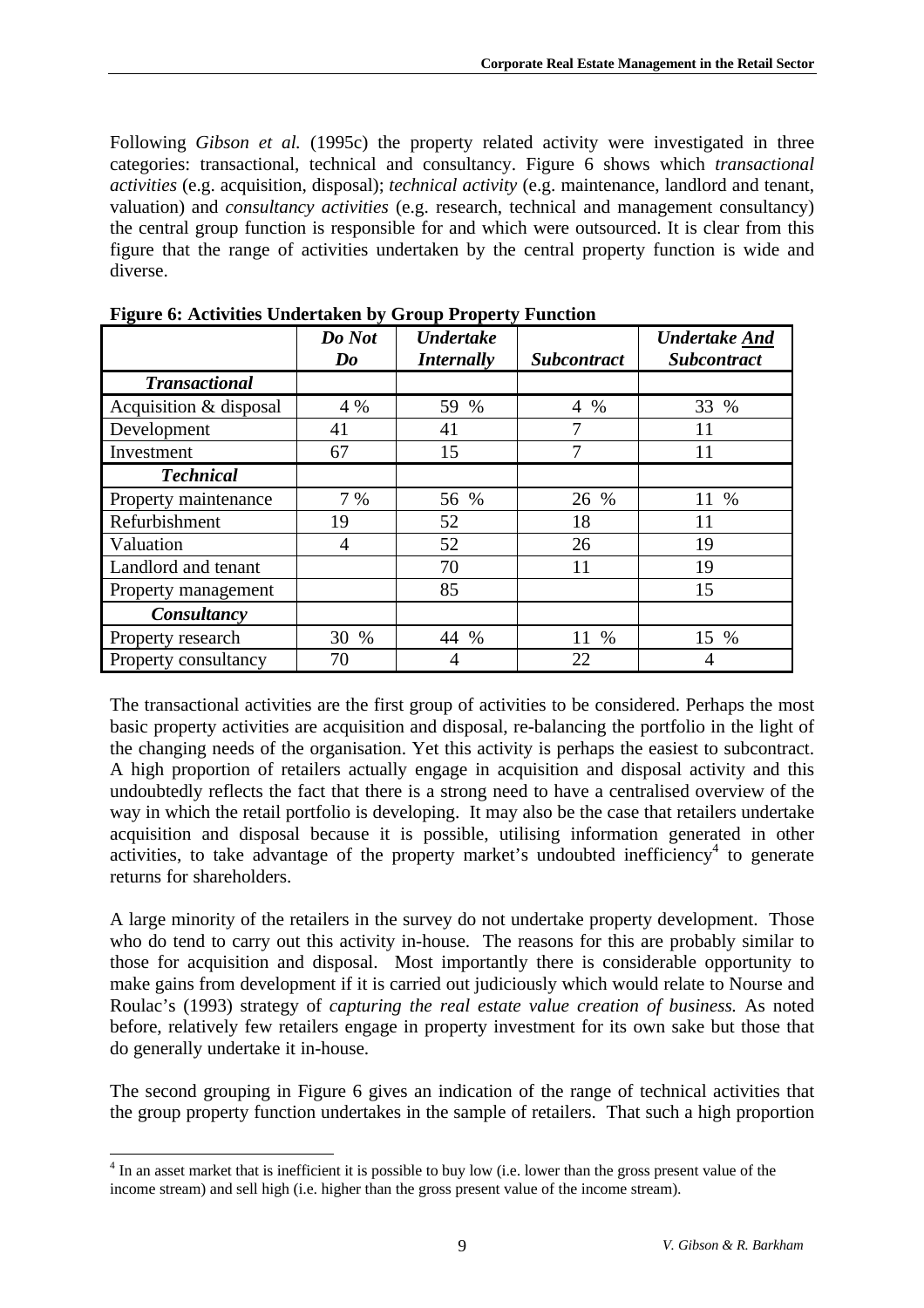Following *Gibson et al.* (1995c) the property related activity were investigated in three categories: transactional, technical and consultancy. Figure 6 shows which *transactional activities* (e.g. acquisition, disposal); *technical activity* (e.g. maintenance, landlord and tenant, valuation) and *consultancy activities* (e.g. research, technical and management consultancy) the central group function is responsible for and which were outsourced. It is clear from this figure that the range of activities undertaken by the central property function is wide and diverse.

|                        | Do Not<br>$\boldsymbol{Do}$ | <b>Undertake</b><br><i>Internally</i> | <b>Subcontract</b> | <b>Undertake And</b><br><b>Subcontract</b> |
|------------------------|-----------------------------|---------------------------------------|--------------------|--------------------------------------------|
| <b>Transactional</b>   |                             |                                       |                    |                                            |
| Acquisition & disposal | 4 %                         | 59 %                                  | $4\%$              | 33 %                                       |
| Development            | 41                          | 41                                    | 7                  | 11                                         |
| Investment             | 67                          | 15                                    |                    | 11                                         |
| <b>Technical</b>       |                             |                                       |                    |                                            |
| Property maintenance   | 7 %                         | 56 %                                  | 26 %               | 11 %                                       |
| Refurbishment          | 19                          | 52                                    | 18                 | 11                                         |
| Valuation              | 4                           | 52                                    | 26                 | 19                                         |
| Landlord and tenant    |                             | 70                                    | 11                 | 19                                         |
| Property management    |                             | 85                                    |                    | 15                                         |
| Consultancy            |                             |                                       |                    |                                            |
| Property research      | 30 %                        | 44 %                                  | 11<br>$\%$         | 15 %                                       |
| Property consultancy   | 70                          | 4                                     | 22                 | 4                                          |

**Figure 6: Activities Undertaken by Group Property Function**

The transactional activities are the first group of activities to be considered. Perhaps the most basic property activities are acquisition and disposal, re-balancing the portfolio in the light of the changing needs of the organisation. Yet this activity is perhaps the easiest to subcontract. A high proportion of retailers actually engage in acquisition and disposal activity and this undoubtedly reflects the fact that there is a strong need to have a centralised overview of the way in which the retail portfolio is developing. It may also be the case that retailers undertake acquisition and disposal because it is possible, utilising information generated in other activities, to take advantage of the property market's undoubted inefficiency<sup>4</sup> to generate returns for shareholders.

A large minority of the retailers in the survey do not undertake property development. Those who do tend to carry out this activity in-house. The reasons for this are probably similar to those for acquisition and disposal. Most importantly there is considerable opportunity to make gains from development if it is carried out judiciously which would relate to Nourse and Roulac's (1993) strategy of *capturing the real estate value creation of business.* As noted before, relatively few retailers engage in property investment for its own sake but those that do generally undertake it in-house.

The second grouping in Figure 6 gives an indication of the range of technical activities that the group property function undertakes in the sample of retailers. That such a high proportion

 $\overline{a}$ 

<sup>&</sup>lt;sup>4</sup> In an asset market that is inefficient it is possible to buy low (i.e. lower than the gross present value of the income stream) and sell high (i.e. higher than the gross present value of the income stream).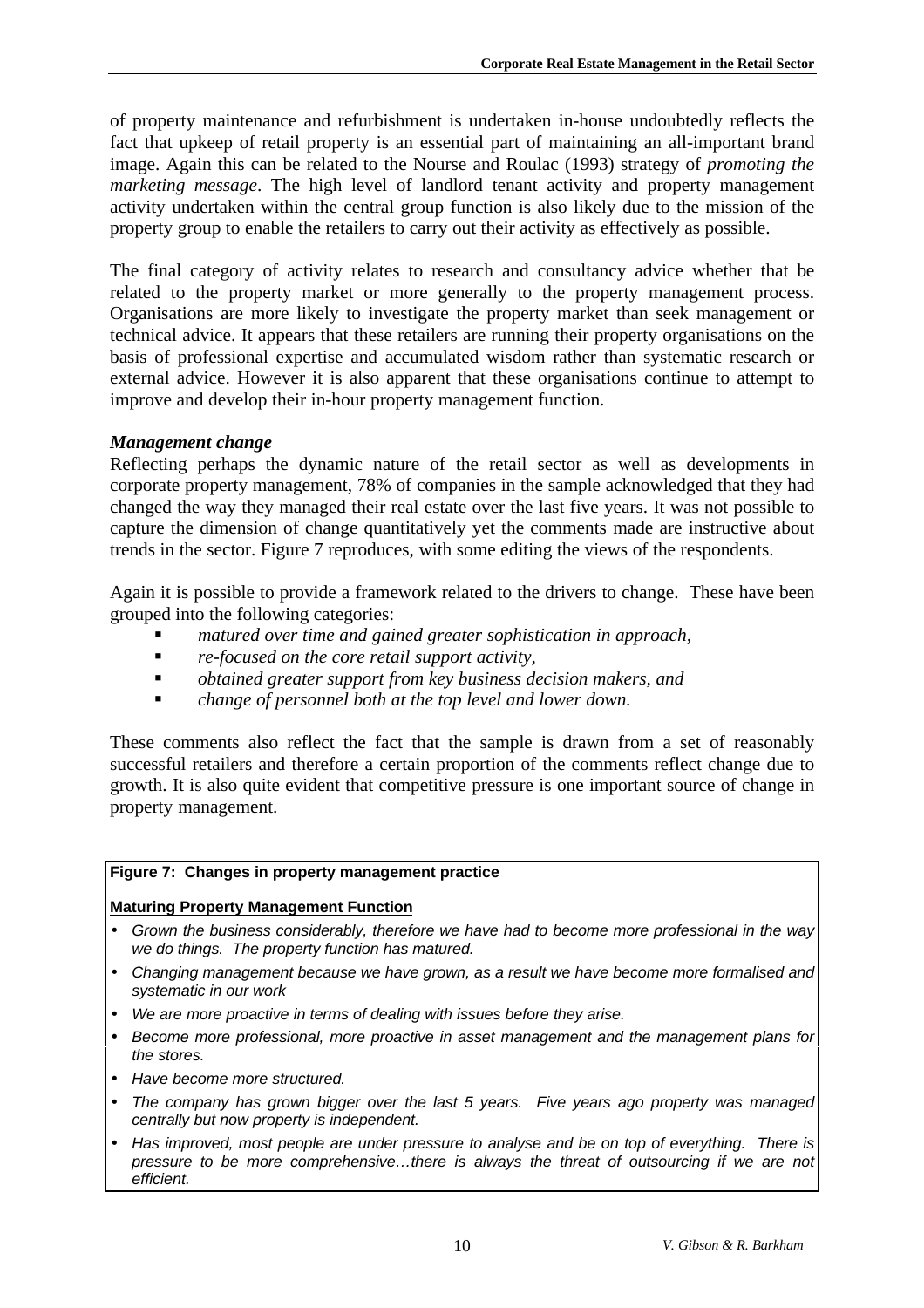of property maintenance and refurbishment is undertaken in-house undoubtedly reflects the fact that upkeep of retail property is an essential part of maintaining an all-important brand image. Again this can be related to the Nourse and Roulac (1993) strategy of *promoting the marketing message*. The high level of landlord tenant activity and property management activity undertaken within the central group function is also likely due to the mission of the property group to enable the retailers to carry out their activity as effectively as possible.

The final category of activity relates to research and consultancy advice whether that be related to the property market or more generally to the property management process. Organisations are more likely to investigate the property market than seek management or technical advice. It appears that these retailers are running their property organisations on the basis of professional expertise and accumulated wisdom rather than systematic research or external advice. However it is also apparent that these organisations continue to attempt to improve and develop their in-hour property management function.

#### *Management change*

Reflecting perhaps the dynamic nature of the retail sector as well as developments in corporate property management, 78% of companies in the sample acknowledged that they had changed the way they managed their real estate over the last five years. It was not possible to capture the dimension of change quantitatively yet the comments made are instructive about trends in the sector. Figure 7 reproduces, with some editing the views of the respondents.

Again it is possible to provide a framework related to the drivers to change. These have been grouped into the following categories:

- ß *matured over time and gained greater sophistication in approach,*
- *re-focused on the core retail support activity,*
- *obtained greater support from key business decision makers, and*
- ß *change of personnel both at the top level and lower down.*

These comments also reflect the fact that the sample is drawn from a set of reasonably successful retailers and therefore a certain proportion of the comments reflect change due to growth. It is also quite evident that competitive pressure is one important source of change in property management.

#### **Figure 7: Changes in property management practice**

#### **Maturing Property Management Function**

- *Grown the business considerably, therefore we have had to become more professional in the way we do things. The property function has matured.*
- *Changing management because we have grown, as a result we have become more formalised and systematic in our work*
- *We are more proactive in terms of dealing with issues before they arise.*
- *Become more professional, more proactive in asset management and the management plans for the stores.*
- *Have become more structured.*
- *The company has grown bigger over the last 5 years. Five years ago property was managed centrally but now property is independent.*
- *Has improved, most people are under pressure to analyse and be on top of everything. There is pressure to be more comprehensive…there is always the threat of outsourcing if we are not efficient.*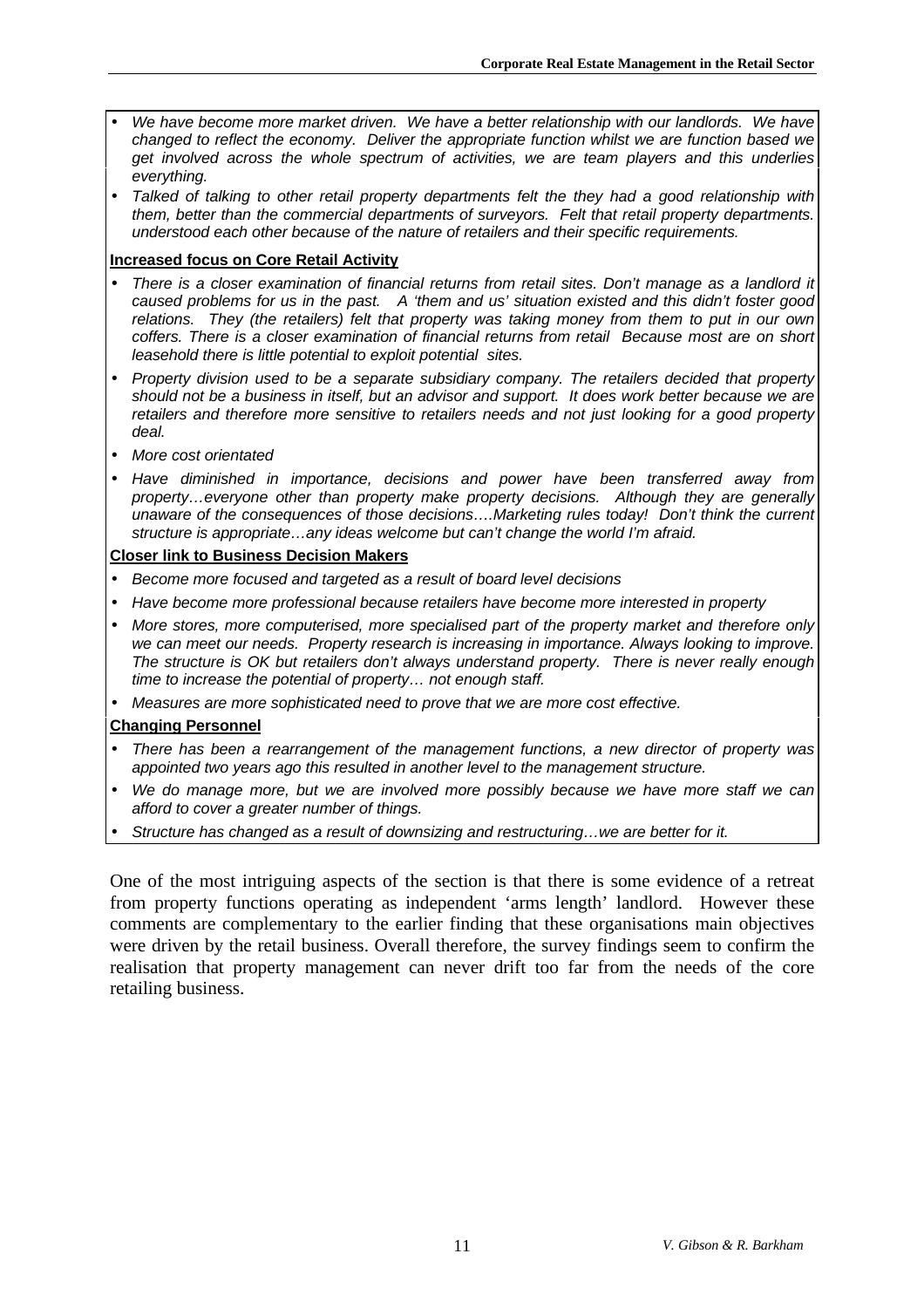- *We have become more market driven. We have a better relationship with our landlords. We have changed to reflect the economy. Deliver the appropriate function whilst we are function based we get involved across the whole spectrum of activities, we are team players and this underlies everything.*
- *Talked of talking to other retail property departments felt the they had a good relationship with them, better than the commercial departments of surveyors. Felt that retail property departments. understood each other because of the nature of retailers and their specific requirements.*

#### **Increased focus on Core Retail Activity**

- *There is a closer examination of financial returns from retail sites. Don't manage as a landlord it caused problems for us in the past. A 'them and us' situation existed and this didn't foster good relations. They (the retailers) felt that property was taking money from them to put in our own coffers. There is a closer examination of financial returns from retail Because most are on short leasehold there is little potential to exploit potential sites.*
- *Property division used to be a separate subsidiary company. The retailers decided that property should not be a business in itself, but an advisor and support. It does work better because we are retailers and therefore more sensitive to retailers needs and not just looking for a good property deal.*
- *More cost orientated*
- *Have diminished in importance, decisions and power have been transferred away from property…everyone other than property make property decisions. Although they are generally unaware of the consequences of those decisions….Marketing rules today! Don't think the current structure is appropriate…any ideas welcome but can't change the world I'm afraid.*

#### **Closer link to Business Decision Makers**

- *Become more focused and targeted as a result of board level decisions*
- *Have become more professional because retailers have become more interested in property*
- *More stores, more computerised, more specialised part of the property market and therefore only we can meet our needs. Property research is increasing in importance. Always looking to improve. The structure is OK but retailers don't always understand property. There is never really enough time to increase the potential of property… not enough staff.*
- *Measures are more sophisticated need to prove that we are more cost effective.*

#### **Changing Personnel**

- *There has been a rearrangement of the management functions, a new director of property was appointed two years ago this resulted in another level to the management structure.*
- *We do manage more, but we are involved more possibly because we have more staff we can afford to cover a greater number of things.*
- *Structure has changed as a result of downsizing and restructuring…we are better for it.*

One of the most intriguing aspects of the section is that there is some evidence of a retreat from property functions operating as independent 'arms length' landlord. However these comments are complementary to the earlier finding that these organisations main objectives were driven by the retail business. Overall therefore, the survey findings seem to confirm the realisation that property management can never drift too far from the needs of the core retailing business.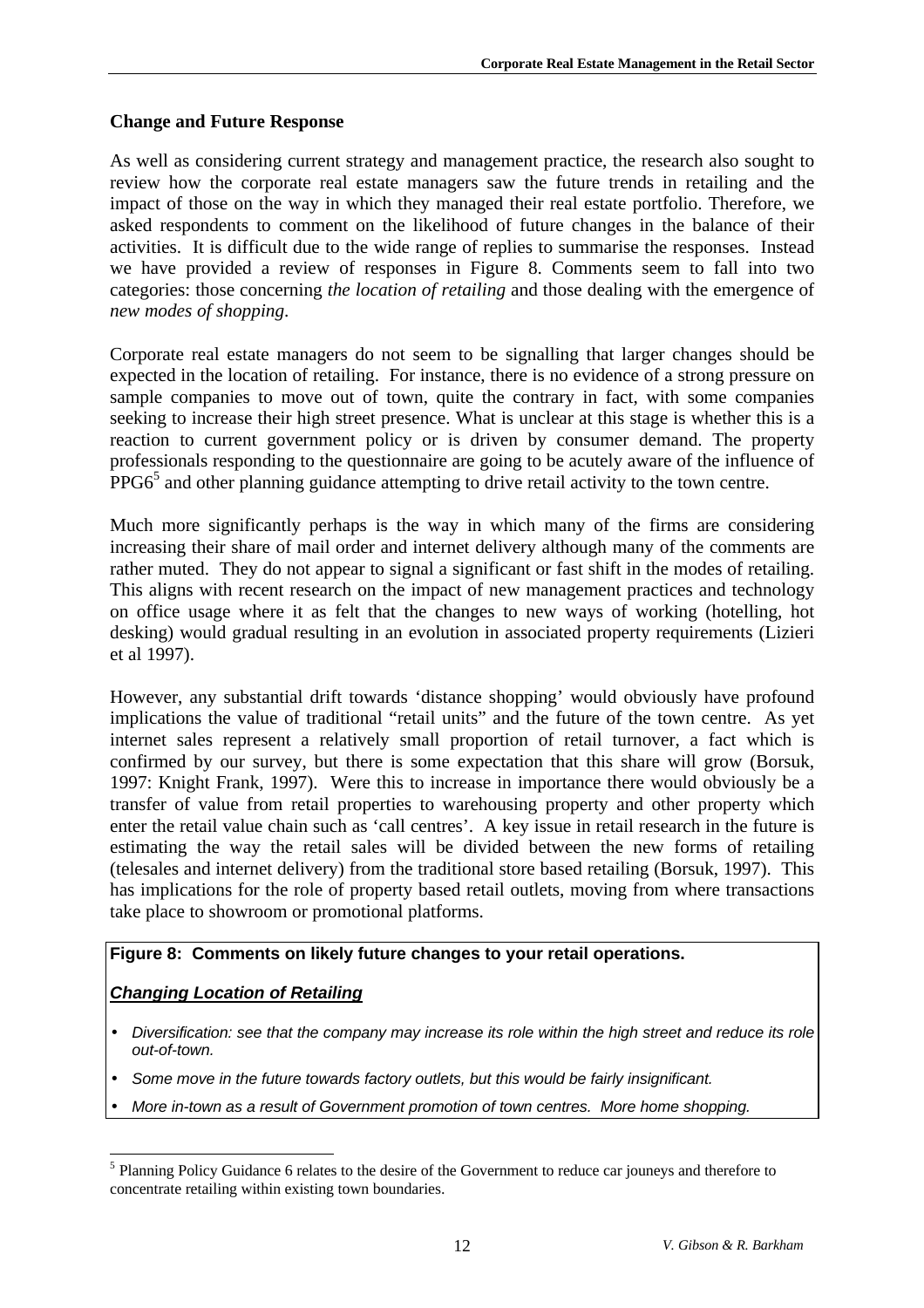## **Change and Future Response**

As well as considering current strategy and management practice, the research also sought to review how the corporate real estate managers saw the future trends in retailing and the impact of those on the way in which they managed their real estate portfolio. Therefore, we asked respondents to comment on the likelihood of future changes in the balance of their activities. It is difficult due to the wide range of replies to summarise the responses. Instead we have provided a review of responses in Figure 8. Comments seem to fall into two categories: those concerning *the location of retailing* and those dealing with the emergence of *new modes of shopping*.

Corporate real estate managers do not seem to be signalling that larger changes should be expected in the location of retailing. For instance, there is no evidence of a strong pressure on sample companies to move out of town, quite the contrary in fact, with some companies seeking to increase their high street presence. What is unclear at this stage is whether this is a reaction to current government policy or is driven by consumer demand. The property professionals responding to the questionnaire are going to be acutely aware of the influence of  $PPG6<sup>5</sup>$  and other planning guidance attempting to drive retail activity to the town centre.

Much more significantly perhaps is the way in which many of the firms are considering increasing their share of mail order and internet delivery although many of the comments are rather muted. They do not appear to signal a significant or fast shift in the modes of retailing. This aligns with recent research on the impact of new management practices and technology on office usage where it as felt that the changes to new ways of working (hotelling, hot desking) would gradual resulting in an evolution in associated property requirements (Lizieri et al 1997).

However, any substantial drift towards 'distance shopping' would obviously have profound implications the value of traditional "retail units" and the future of the town centre. As yet internet sales represent a relatively small proportion of retail turnover, a fact which is confirmed by our survey, but there is some expectation that this share will grow (Borsuk, 1997: Knight Frank, 1997). Were this to increase in importance there would obviously be a transfer of value from retail properties to warehousing property and other property which enter the retail value chain such as 'call centres'. A key issue in retail research in the future is estimating the way the retail sales will be divided between the new forms of retailing (telesales and internet delivery) from the traditional store based retailing (Borsuk, 1997). This has implications for the role of property based retail outlets, moving from where transactions take place to showroom or promotional platforms.

#### **Figure 8: Comments on likely future changes to your retail operations.**

## *Changing Location of Retailing*

 $\overline{a}$ 

- *Diversification: see that the company may increase its role within the high street and reduce its role out-of-town.*
- *Some move in the future towards factory outlets, but this would be fairly insignificant.*
- *More in-town as a result of Government promotion of town centres. More home shopping.*

<sup>&</sup>lt;sup>5</sup> Planning Policy Guidance 6 relates to the desire of the Government to reduce car jouneys and therefore to concentrate retailing within existing town boundaries.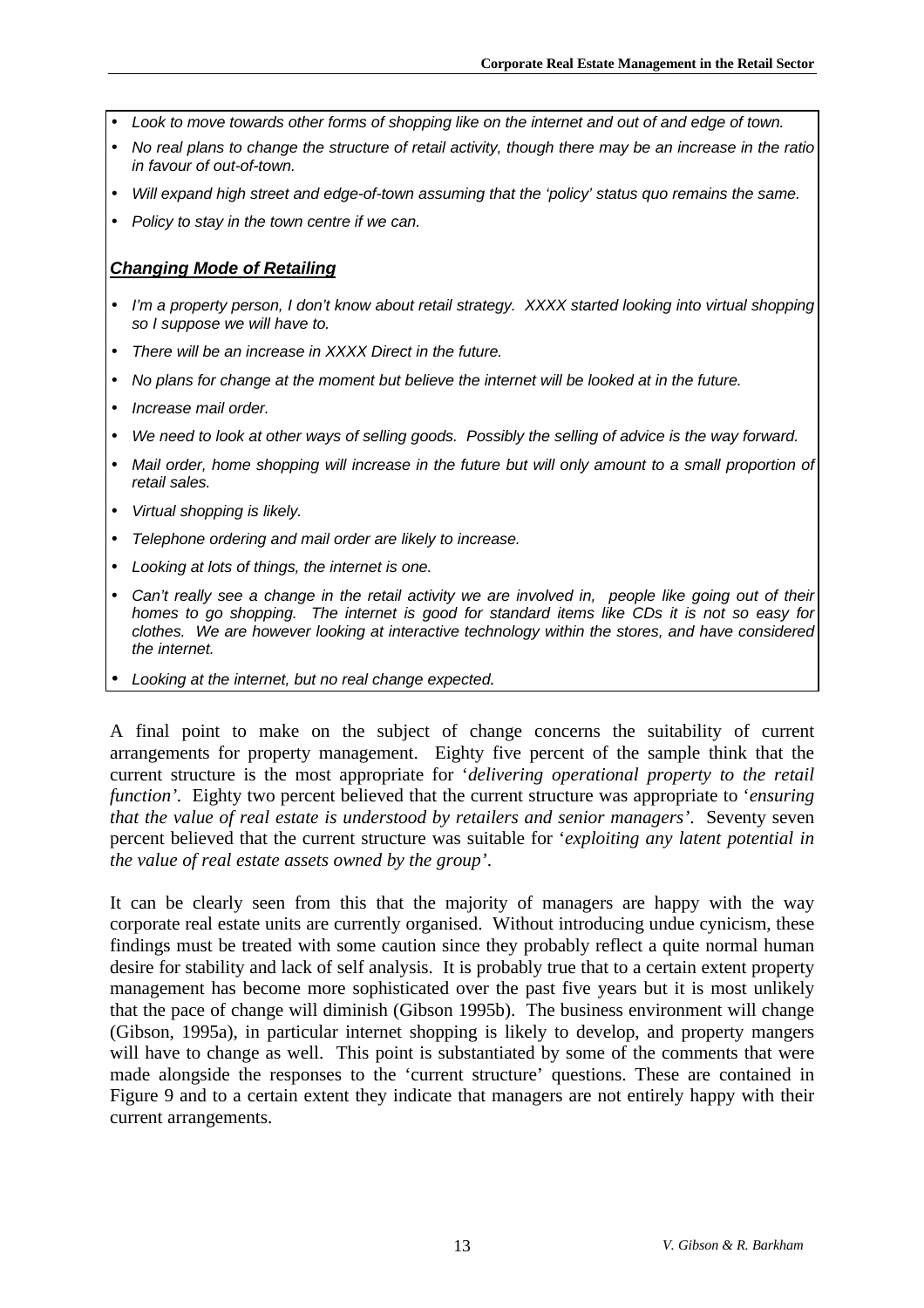- *Look to move towards other forms of shopping like on the internet and out of and edge of town.*
- *No real plans to change the structure of retail activity, though there may be an increase in the ratio in favour of out-of-town.*
- *Will expand high street and edge-of-town assuming that the 'policy' status quo remains the same.*
- *Policy to stay in the town centre if we can.*

### *Changing Mode of Retailing*

- *I'm a property person, I don't know about retail strategy. XXXX started looking into virtual shopping so I suppose we will have to.*
- *There will be an increase in XXXX Direct in the future.*
- *No plans for change at the moment but believe the internet will be looked at in the future.*
- *Increase mail order.*
- *We need to look at other ways of selling goods. Possibly the selling of advice is the way forward.*
- *Mail order, home shopping will increase in the future but will only amount to a small proportion of retail sales.*
- *Virtual shopping is likely.*
- *Telephone ordering and mail order are likely to increase.*
- *Looking at lots of things, the internet is one.*
- *Can't really see a change in the retail activity we are involved in, people like going out of their homes to go shopping. The internet is good for standard items like CDs it is not so easy for clothes. We are however looking at interactive technology within the stores, and have considered the internet.*
- *Looking at the internet, but no real change expected.*

A final point to make on the subject of change concerns the suitability of current arrangements for property management. Eighty five percent of the sample think that the current structure is the most appropriate for '*delivering operational property to the retail function'.* Eighty two percent believed that the current structure was appropriate to '*ensuring that the value of real estate is understood by retailers and senior managers'*. Seventy seven percent believed that the current structure was suitable for '*exploiting any latent potential in the value of real estate assets owned by the group'*.

It can be clearly seen from this that the majority of managers are happy with the way corporate real estate units are currently organised. Without introducing undue cynicism, these findings must be treated with some caution since they probably reflect a quite normal human desire for stability and lack of self analysis. It is probably true that to a certain extent property management has become more sophisticated over the past five years but it is most unlikely that the pace of change will diminish (Gibson 1995b). The business environment will change (Gibson, 1995a), in particular internet shopping is likely to develop, and property mangers will have to change as well. This point is substantiated by some of the comments that were made alongside the responses to the 'current structure' questions. These are contained in Figure 9 and to a certain extent they indicate that managers are not entirely happy with their current arrangements.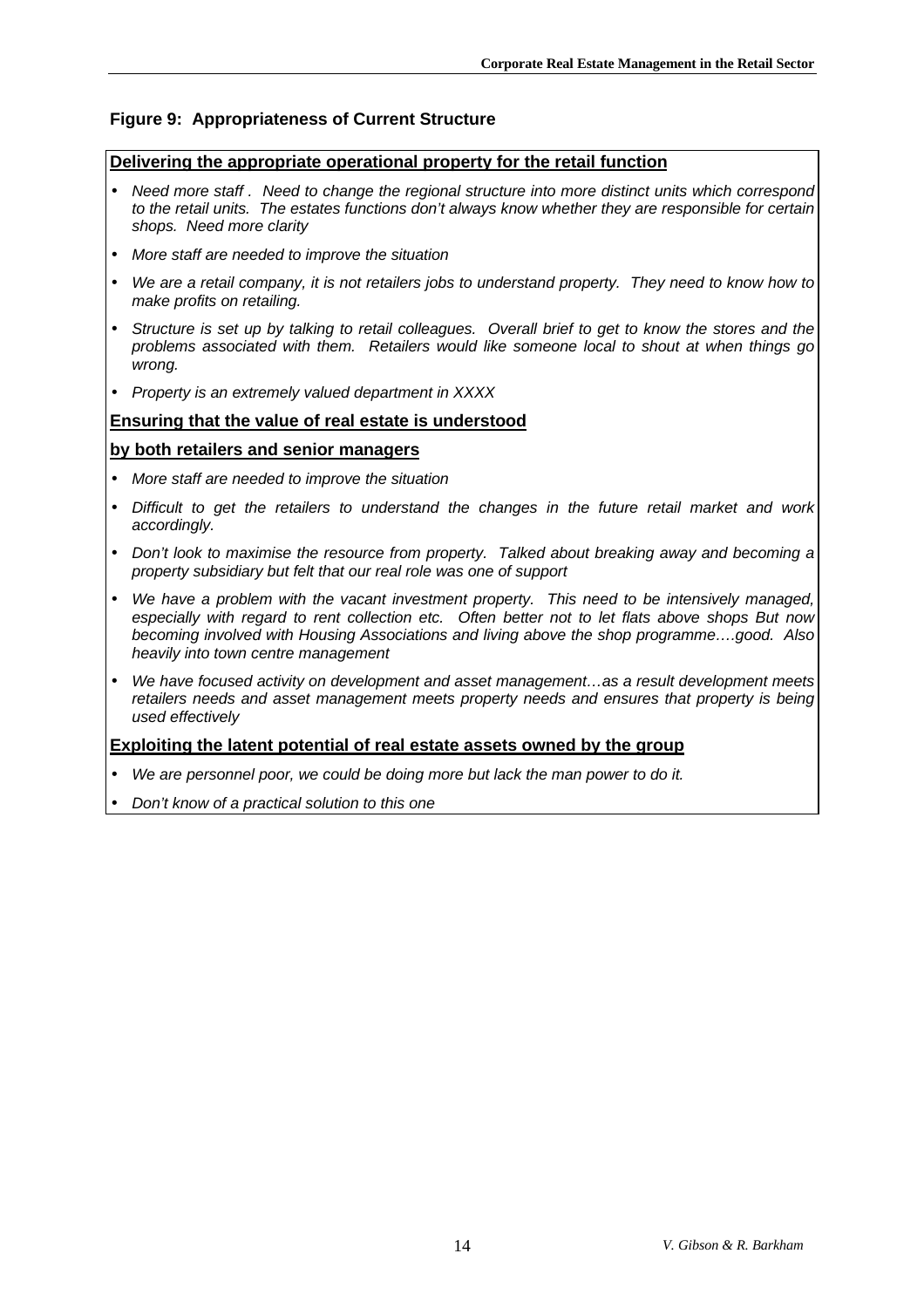#### **Figure 9: Appropriateness of Current Structure**

#### **Delivering the appropriate operational property for the retail function**

- *Need more staff . Need to change the regional structure into more distinct units which correspond to the retail units. The estates functions don't always know whether they are responsible for certain shops. Need more clarity*
- *More staff are needed to improve the situation*
- *We are a retail company, it is not retailers jobs to understand property. They need to know how to make profits on retailing.*
- *Structure is set up by talking to retail colleagues. Overall brief to get to know the stores and the problems associated with them. Retailers would like someone local to shout at when things go wrong.*
- *Property is an extremely valued department in XXXX*

#### **Ensuring that the value of real estate is understood**

#### **by both retailers and senior managers**

- *More staff are needed to improve the situation*
- *Difficult to get the retailers to understand the changes in the future retail market and work accordingly.*
- *Don't look to maximise the resource from property. Talked about breaking away and becoming a property subsidiary but felt that our real role was one of support*
- *We have a problem with the vacant investment property. This need to be intensively managed, especially with regard to rent collection etc. Often better not to let flats above shops But now becoming involved with Housing Associations and living above the shop programme….good. Also heavily into town centre management*
- *We have focused activity on development and asset management…as a result development meets retailers needs and asset management meets property needs and ensures that property is being used effectively*

#### **Exploiting the latent potential of real estate assets owned by the group**

- *We are personnel poor, we could be doing more but lack the man power to do it.*
- *Don't know of a practical solution to this one*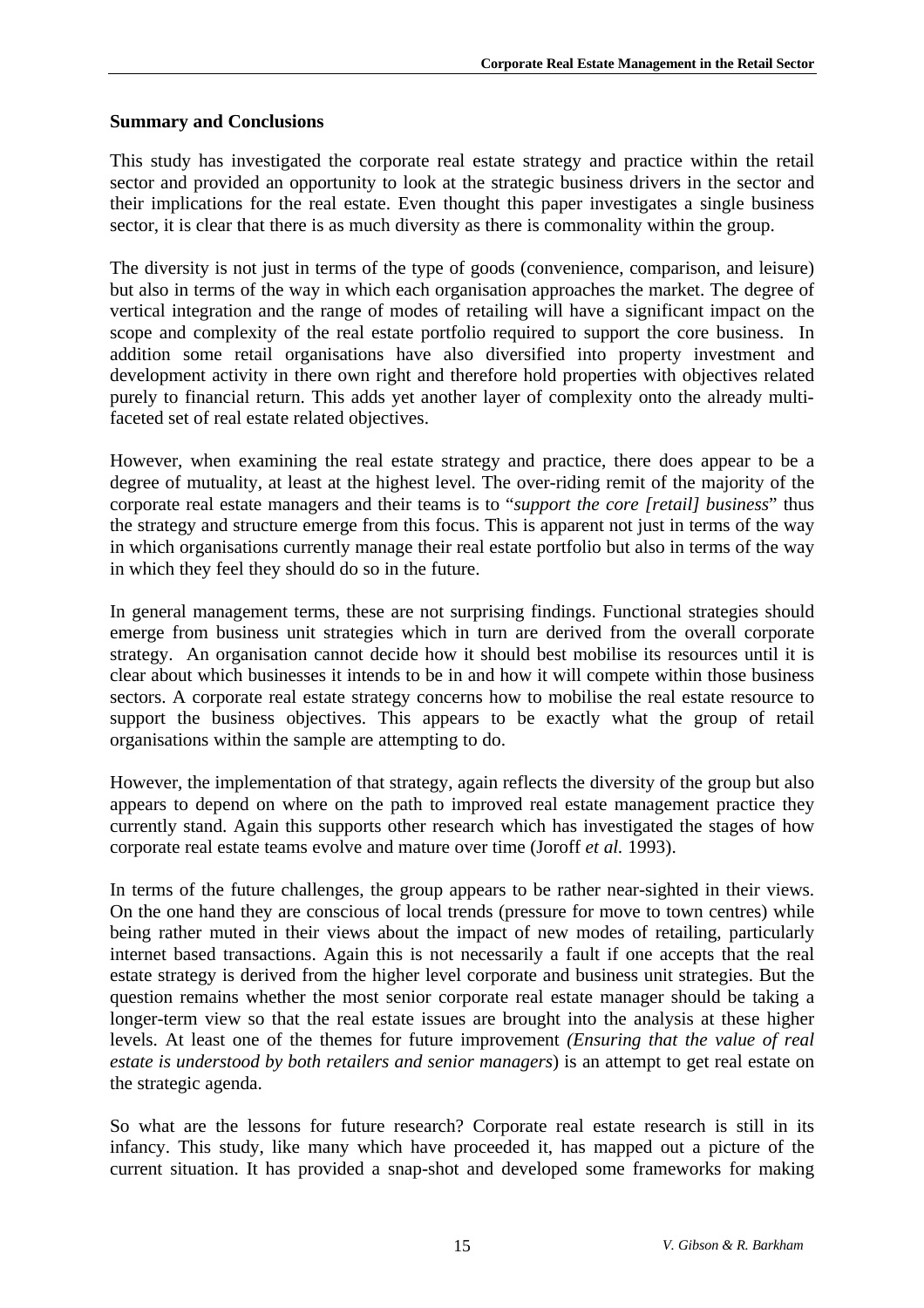## **Summary and Conclusions**

This study has investigated the corporate real estate strategy and practice within the retail sector and provided an opportunity to look at the strategic business drivers in the sector and their implications for the real estate. Even thought this paper investigates a single business sector, it is clear that there is as much diversity as there is commonality within the group.

The diversity is not just in terms of the type of goods (convenience, comparison, and leisure) but also in terms of the way in which each organisation approaches the market. The degree of vertical integration and the range of modes of retailing will have a significant impact on the scope and complexity of the real estate portfolio required to support the core business. In addition some retail organisations have also diversified into property investment and development activity in there own right and therefore hold properties with objectives related purely to financial return. This adds yet another layer of complexity onto the already multifaceted set of real estate related objectives.

However, when examining the real estate strategy and practice, there does appear to be a degree of mutuality, at least at the highest level. The over-riding remit of the majority of the corporate real estate managers and their teams is to "*support the core [retail] business*" thus the strategy and structure emerge from this focus. This is apparent not just in terms of the way in which organisations currently manage their real estate portfolio but also in terms of the way in which they feel they should do so in the future.

In general management terms, these are not surprising findings. Functional strategies should emerge from business unit strategies which in turn are derived from the overall corporate strategy. An organisation cannot decide how it should best mobilise its resources until it is clear about which businesses it intends to be in and how it will compete within those business sectors. A corporate real estate strategy concerns how to mobilise the real estate resource to support the business objectives. This appears to be exactly what the group of retail organisations within the sample are attempting to do.

However, the implementation of that strategy, again reflects the diversity of the group but also appears to depend on where on the path to improved real estate management practice they currently stand. Again this supports other research which has investigated the stages of how corporate real estate teams evolve and mature over time (Joroff *et al.* 1993).

In terms of the future challenges, the group appears to be rather near-sighted in their views. On the one hand they are conscious of local trends (pressure for move to town centres) while being rather muted in their views about the impact of new modes of retailing, particularly internet based transactions. Again this is not necessarily a fault if one accepts that the real estate strategy is derived from the higher level corporate and business unit strategies. But the question remains whether the most senior corporate real estate manager should be taking a longer-term view so that the real estate issues are brought into the analysis at these higher levels. At least one of the themes for future improvement *(Ensuring that the value of real estate is understood by both retailers and senior managers*) is an attempt to get real estate on the strategic agenda.

So what are the lessons for future research? Corporate real estate research is still in its infancy. This study, like many which have proceeded it, has mapped out a picture of the current situation. It has provided a snap-shot and developed some frameworks for making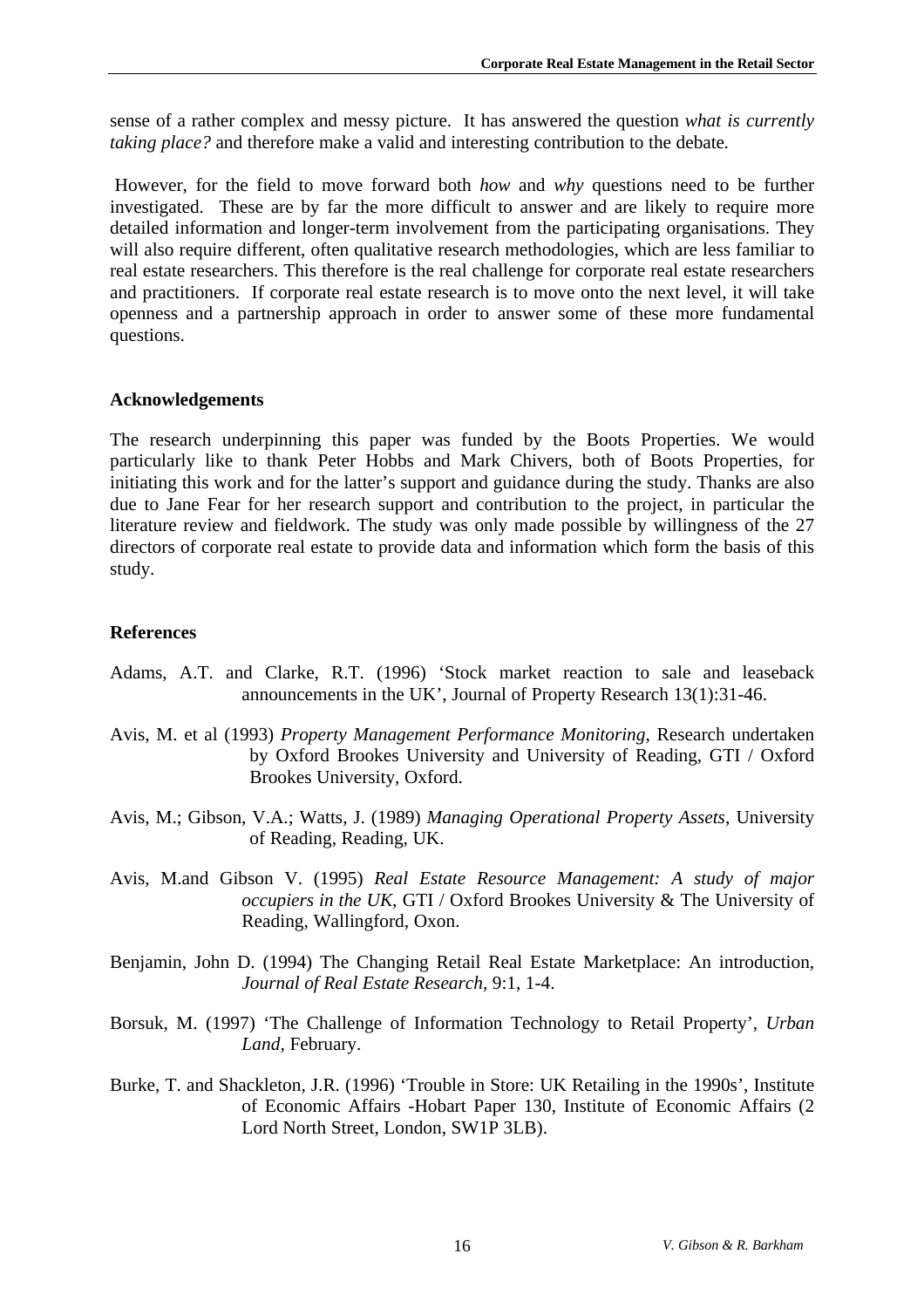sense of a rather complex and messy picture. It has answered the question *what is currently taking place?* and therefore make a valid and interesting contribution to the debate*.*

However, for the field to move forward both *how* and *why* questions need to be further investigated. These are by far the more difficult to answer and are likely to require more detailed information and longer-term involvement from the participating organisations. They will also require different, often qualitative research methodologies, which are less familiar to real estate researchers. This therefore is the real challenge for corporate real estate researchers and practitioners. If corporate real estate research is to move onto the next level, it will take openness and a partnership approach in order to answer some of these more fundamental questions.

## **Acknowledgements**

The research underpinning this paper was funded by the Boots Properties. We would particularly like to thank Peter Hobbs and Mark Chivers, both of Boots Properties, for initiating this work and for the latter's support and guidance during the study. Thanks are also due to Jane Fear for her research support and contribution to the project, in particular the literature review and fieldwork. The study was only made possible by willingness of the 27 directors of corporate real estate to provide data and information which form the basis of this study.

## **References**

- Adams, A.T. and Clarke, R.T. (1996) 'Stock market reaction to sale and leaseback announcements in the UK', Journal of Property Research 13(1):31-46.
- Avis, M. et al (1993) *Property Management Performance Monitoring*, Research undertaken by Oxford Brookes University and University of Reading, GTI / Oxford Brookes University, Oxford.
- Avis, M.; Gibson, V.A.; Watts, J. (1989) *Managing Operational Property Assets*, University of Reading, Reading, UK.
- Avis, M.and Gibson V. (1995) *Real Estate Resource Management: A study of major occupiers in the UK*, GTI / Oxford Brookes University & The University of Reading, Wallingford, Oxon.
- Benjamin, John D. (1994) The Changing Retail Real Estate Marketplace: An introduction, *Journal of Real Estate Research*, 9:1, 1-4.
- Borsuk, M. (1997) 'The Challenge of Information Technology to Retail Property', *Urban Land,* February.
- Burke, T. and Shackleton, J.R. (1996) 'Trouble in Store: UK Retailing in the 1990s', Institute of Economic Affairs -Hobart Paper 130, Institute of Economic Affairs (2 Lord North Street, London, SW1P 3LB).